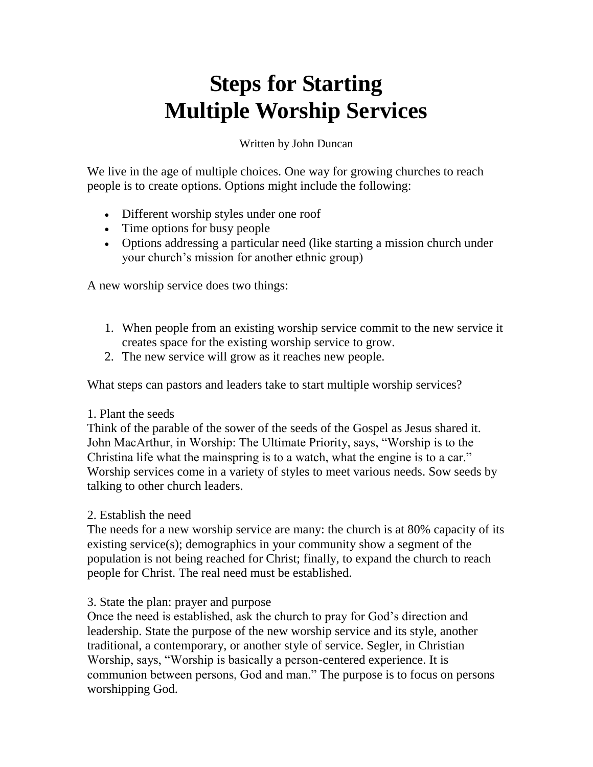# **Steps for Starting Multiple Worship Services**

Written by John Duncan

We live in the age of multiple choices. One way for growing churches to reach people is to create options. Options might include the following:

- Different worship styles under one roof
- Time options for busy people
- Options addressing a particular need (like starting a mission church under your church's mission for another ethnic group)

A new worship service does two things:

- 1. When people from an existing worship service commit to the new service it creates space for the existing worship service to grow.
- 2. The new service will grow as it reaches new people.

What steps can pastors and leaders take to start multiple worship services?

# 1. Plant the seeds

Think of the parable of the sower of the seeds of the Gospel as Jesus shared it. John MacArthur, in Worship: The Ultimate Priority, says, "Worship is to the Christina life what the mainspring is to a watch, what the engine is to a car." Worship services come in a variety of styles to meet various needs. Sow seeds by talking to other church leaders.

2. Establish the need

The needs for a new worship service are many: the church is at 80% capacity of its existing service(s); demographics in your community show a segment of the population is not being reached for Christ; finally, to expand the church to reach people for Christ. The real need must be established.

# 3. State the plan: prayer and purpose

Once the need is established, ask the church to pray for God's direction and leadership. State the purpose of the new worship service and its style, another traditional, a contemporary, or another style of service. Segler, in Christian Worship, says, "Worship is basically a person-centered experience. It is communion between persons, God and man." The purpose is to focus on persons worshipping God.